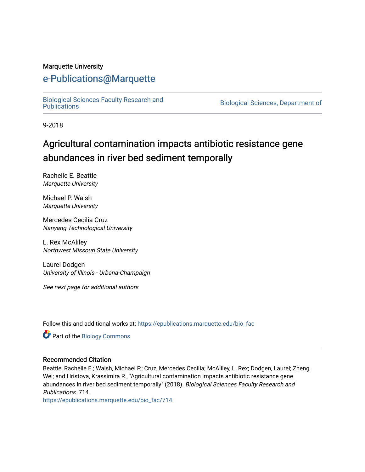#### Marquette University

# [e-Publications@Marquette](https://epublications.marquette.edu/)

[Biological Sciences Faculty Research and](https://epublications.marquette.edu/bio_fac) 

Biological Sciences, Department of

9-2018

# Agricultural contamination impacts antibiotic resistance gene abundances in river bed sediment temporally

Rachelle E. Beattie Marquette University

Michael P. Walsh Marquette University

Mercedes Cecilia Cruz Nanyang Technological University

L. Rex McAliley Northwest Missouri State University

Laurel Dodgen University of Illinois - Urbana-Champaign

See next page for additional authors

Follow this and additional works at: [https://epublications.marquette.edu/bio\\_fac](https://epublications.marquette.edu/bio_fac?utm_source=epublications.marquette.edu%2Fbio_fac%2F714&utm_medium=PDF&utm_campaign=PDFCoverPages) 

Part of the [Biology Commons](http://network.bepress.com/hgg/discipline/41?utm_source=epublications.marquette.edu%2Fbio_fac%2F714&utm_medium=PDF&utm_campaign=PDFCoverPages) 

#### Recommended Citation

Beattie, Rachelle E.; Walsh, Michael P.; Cruz, Mercedes Cecilia; McAliley, L. Rex; Dodgen, Laurel; Zheng, Wei; and Hristova, Krassimira R., "Agricultural contamination impacts antibiotic resistance gene abundances in river bed sediment temporally" (2018). Biological Sciences Faculty Research and Publications. 714.

[https://epublications.marquette.edu/bio\\_fac/714](https://epublications.marquette.edu/bio_fac/714?utm_source=epublications.marquette.edu%2Fbio_fac%2F714&utm_medium=PDF&utm_campaign=PDFCoverPages)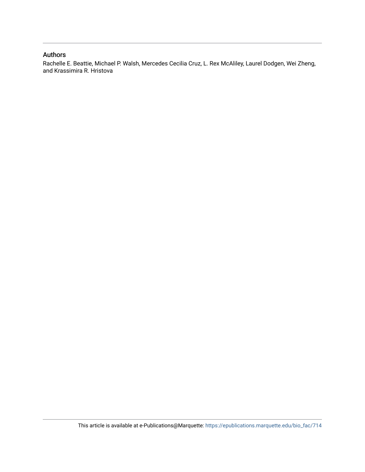#### Authors

Rachelle E. Beattie, Michael P. Walsh, Mercedes Cecilia Cruz, L. Rex McAliley, Laurel Dodgen, Wei Zheng, and Krassimira R. Hristova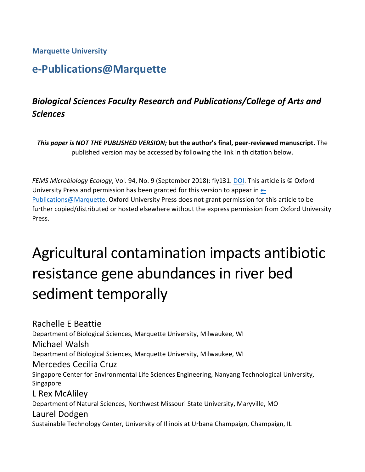**Marquette University**

# **e-Publications@Marquette**

# *Biological Sciences Faculty Research and Publications/College of Arts and Sciences*

*This paper is NOT THE PUBLISHED VERSION;* **but the author's final, peer-reviewed manuscript.** The published version may be accessed by following the link in th citation below.

*FEMS Microbiology Ecology*, Vol. 94, No. 9 (September 2018): fiy131. [DOI.](https://doi.org/10.1093/femsec/fiy131) This article is © Oxford University Press and permission has been granted for this version to appear in [e-](http://epublications.marquette.edu/)[Publications@Marquette.](http://epublications.marquette.edu/) Oxford University Press does not grant permission for this article to be further copied/distributed or hosted elsewhere without the express permission from Oxford University Press.

# Agricultural contamination impacts antibiotic resistance gene abundances in river bed sediment temporally

Rachelle E Beattie Department of Biological Sciences, Marquette University, Milwaukee, WI Michael Walsh Department of Biological Sciences, Marquette University, Milwaukee, WI Mercedes Cecilia Cruz Singapore Center for Environmental Life Sciences Engineering, Nanyang Technological University, Singapore L Rex McAliley Department of Natural Sciences, Northwest Missouri State University, Maryville, MO Laurel Dodgen Sustainable Technology Center, University of Illinois at Urbana Champaign, Champaign, IL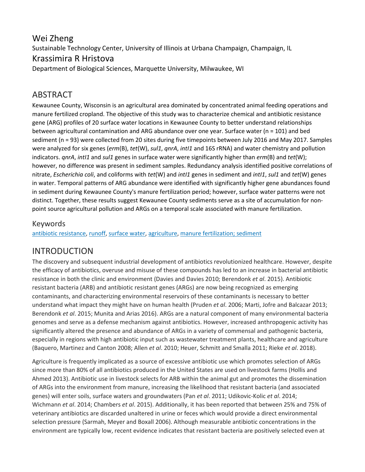## Wei Zheng Sustainable Technology Center, University of Illinois at Urbana Champaign, Champaign, IL Krassimira R Hristova Department of Biological Sciences, Marquette University, Milwaukee, WI

# ABSTRACT

Kewaunee County, Wisconsin is an agricultural area dominated by concentrated animal feeding operations and manure fertilized cropland. The objective of this study was to characterize chemical and antibiotic resistance gene (ARG) profiles of 20 surface water locations in Kewaunee County to better understand relationships between agricultural contamination and ARG abundance over one year. Surface water (n = 101) and bed sediment (n = 93) were collected from 20 sites during five timepoints between July 2016 and May 2017. Samples were analyzed for six genes (*erm*(B), *tet*(W), *sul1*, *qnrA*, *intI1* and 16S rRNA) and water chemistry and pollution indicators. *qnrA*, *intI1* and *sul1* genes in surface water were significantly higher than *erm*(B) and *tet*(W); however, no difference was present in sediment samples. Redundancy analysis identified positive correlations of nitrate, *Escherichia coli*, and coliforms with *tet*(W) and *intI1* genes in sediment and *intI1*, *sul1* and *tet*(W) genes in water. Temporal patterns of ARG abundance were identified with significantly higher gene abundances found in sediment during Kewaunee County's manure fertilization period; however, surface water patterns were not distinct. Together, these results suggest Kewaunee County sediments serve as a site of accumulation for nonpoint source agricultural pollution and ARGs on a temporal scale associated with manure fertilization.

#### Keywords

antibiotic [resistance,](javascript:;) [runoff,](javascript:;) [surface](javascript:;) water, [agriculture,](javascript:;) manure [fertilization;](javascript:;) sediment

## INTRODUCTION

The discovery and subsequent industrial development of antibiotics revolutionized healthcare. However, despite the efficacy of antibiotics, overuse and misuse of these compounds has led to an increase in bacterial antibiotic resistance in both the clinic and environment (Davies and Davies 2010; Berendonk *et al*. 2015). Antibiotic resistant bacteria (ARB) and antibiotic resistant genes (ARGs) are now being recognized as emerging contaminants, and characterizing environmental reservoirs of these contaminants is necessary to better understand what impact they might have on human health (Pruden *et al*. 2006; Marti, Jofre and Balcazar 2013; Berendonk *et al*. 2015; Munita and Arias 2016). ARGs are a natural component of many environmental bacteria genomes and serve as a defense mechanism against antibiotics. However, increased anthropogenic activity has significantly altered the presence and abundance of ARGs in a variety of commensal and pathogenic bacteria, especially in regions with high antibiotic input such as wastewater treatment plants, healthcare and agriculture (Baquero, Martinez and Canton 2008; Allen *et al*. 2010; Heuer, Schmitt and Smalla 2011; Rieke *et al*. 2018).

Agriculture is frequently implicated as a source of excessive antibiotic use which promotes selection of ARGs since more than 80% of all antibiotics produced in the United States are used on livestock farms (Hollis and Ahmed 2013). Antibiotic use in livestock selects for ARB within the animal gut and promotes the dissemination of ARGs into the environment from manure, increasing the likelihood that resistant bacteria (and associated genes) will enter soils, surface waters and groundwaters (Pan *et al*. 2011; Udikovic-Kolic *et al*. 2014; Wichmann *et al*. 2014; Chambers *et al*. 2015). Additionally, it has been reported that between 25% and 75% of veterinary antibiotics are discarded unaltered in urine or feces which would provide a direct environmental selection pressure (Sarmah, Meyer and Boxall 2006). Although measurable antibiotic concentrations in the environment are typically low, recent evidence indicates that resistant bacteria are positively selected even at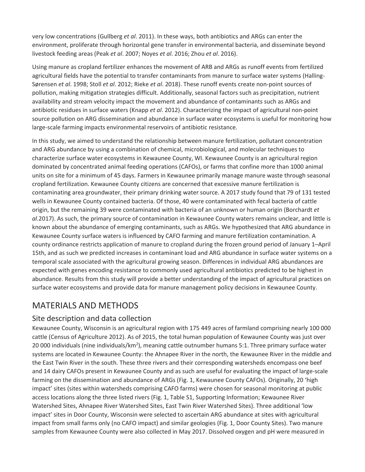very low concentrations (Gullberg *et al*. 2011). In these ways, both antibiotics and ARGs can enter the environment, proliferate through horizontal gene transfer in environmental bacteria, and disseminate beyond livestock feeding areas (Peak *et al*. 2007; Noyes *et al*. 2016; Zhou *et al*. 2016).

Using manure as cropland fertilizer enhances the movement of ARB and ARGs as runoff events from fertilized agricultural fields have the potential to transfer contaminants from manure to surface water systems (Halling-Sørensen *et al*. 1998; Stoll *et al*. 2012; Rieke *et al*. 2018). These runoff events create non-point sources of pollution, making mitigation strategies difficult. Additionally, seasonal factors such as precipitation, nutrient availability and stream velocity impact the movement and abundance of contaminants such as ARGs and antibiotic residues in surface waters (Knapp *et al*. 2012). Characterizing the impact of agricultural non-point source pollution on ARG dissemination and abundance in surface water ecosystems is useful for monitoring how large-scale farming impacts environmental reservoirs of antibiotic resistance.

In this study, we aimed to understand the relationship between manure fertilization, pollutant concentration and ARG abundance by using a combination of chemical, microbiological, and molecular techniques to characterize surface water ecosystems in Kewaunee County, WI. Kewaunee County is an agricultural region dominated by concentrated animal feeding operations (CAFOs), or farms that confine more than 1000 animal units on site for a minimum of 45 days. Farmers in Kewaunee primarily manage manure waste through seasonal cropland fertilization. Kewaunee County citizens are concerned that excessive manure fertilization is contaminating area groundwater, their primary drinking water source. A 2017 study found that 79 of 131 tested wells in Kewaunee County contained bacteria. Of those, 40 were contaminated with fecal bacteria of cattle origin, but the remaining 39 were contaminated with bacteria of an unknown or human origin (Borchardt *et al*.2017). As such, the primary source of contamination in Kewaunee County waters remains unclear, and little is known about the abundance of emerging contaminants, such as ARGs. We hypothesized that ARG abundance in Kewaunee County surface waters is influenced by CAFO farming and manure fertilization contamination. A county ordinance restricts application of manure to cropland during the frozen ground period of January 1–April 15th, and as such we predicted increases in contaminant load and ARG abundance in surface water systems on a temporal scale associated with the agricultural growing season. Differences in individual ARG abundances are expected with genes encoding resistance to commonly used agricultural antibiotics predicted to be highest in abundance. Results from this study will provide a better understanding of the impact of agricultural practices on surface water ecosystems and provide data for manure management policy decisions in Kewaunee County.

## MATERIALS AND METHODS

#### Site description and data collection

Kewaunee County, Wisconsin is an agricultural region with 175 449 acres of farmland comprising nearly 100 000 cattle (Census of Agriculture 2012). As of 2015, the total human population of Kewaunee County was just over 20 000 individuals (nine individuals/km<sup>2</sup>), meaning cattle outnumber humans 5:1. Three primary surface water systems are located in Kewaunee County: the Ahnapee River in the north, the Kewaunee River in the middle and the East Twin River in the south. These three rivers and their corresponding watersheds encompass one beef and 14 dairy CAFOs present in Kewaunee County and as such are useful for evaluating the impact of large-scale farming on the dissemination and abundance of ARGs (Fig. 1, Kewaunee County CAFOs). Originally, 20 'high impact' sites (sites within watersheds comprising CAFO farms) were chosen for seasonal monitoring at public access locations along the three listed rivers (Fig. 1, Table S1, Supporting Information; Kewaunee River Watershed Sites, Ahnapee River Watershed Sites, East Twin River Watershed Sites). Three additional 'low impact' sites in Door County, Wisconsin were selected to ascertain ARG abundance at sites with agricultural impact from small farms only (no CAFO impact) and similar geologies (Fig. 1, Door County Sites). Two manure samples from Kewaunee County were also collected in May 2017. Dissolved oxygen and pH were measured in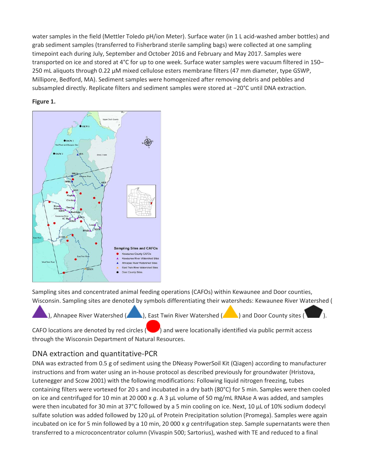water samples in the field (Mettler Toledo pH/ion Meter). Surface water (in 1 L acid-washed amber bottles) and grab sediment samples (transferred to Fisherbrand sterile sampling bags) were collected at one sampling timepoint each during July, September and October 2016 and February and May 2017. Samples were transported on ice and stored at 4°C for up to one week. Surface water samples were vacuum filtered in 150– 250 mL aliquots through 0.22 µM mixed cellulose esters membrane filters (47 mm diameter, type GSWP, Millipore, Bedford, MA). Sediment samples were homogenized after removing debris and pebbles and subsampled directly. Replicate filters and sediment samples were stored at −20°C until DNA extraction.

#### **Figure 1.**



Sampling sites and concentrated animal feeding operations (CAFOs) within Kewaunee and Door counties, Wisconsin. Sampling sites are denoted by symbols differentiating their watersheds: Kewaunee River Watershed (

), Ahnapee River Watershed ( $\Box$ ), East Twin River Watershed ( $\Box$ ) and Door County sites (

CAFO locations are denoted by red circles (**CAFO**) and were locationally identified via public permit access through the Wisconsin Department of Natural Resources.

#### DNA extraction and quantitative-PCR

DNA was extracted from 0.5 g of sediment using the DNeasy PowerSoil Kit (Qiagen) according to manufacturer instructions and from water using an in-house protocol as described previously for groundwater (Hristova, Lutenegger and Scow 2001) with the following modifications: Following liquid nitrogen freezing, tubes containing filters were vortexed for 20 s and incubated in a dry bath (80°C) for 5 min. Samples were then cooled on ice and centrifuged for 10 min at 20 000 x *g*. A 3 µL volume of 50 mg/mL RNAse A was added, and samples were then incubated for 30 min at 37°C followed by a 5 min cooling on ice. Next, 10 µL of 10% sodium dodecyl sulfate solution was added followed by 120 µL of Protein Precipitation solution (Promega). Samples were again incubated on ice for 5 min followed by a 10 min, 20 000 x *g* centrifugation step. Sample supernatants were then transferred to a microconcentrator column (Vivaspin 500; Sartorius), washed with TE and reduced to a final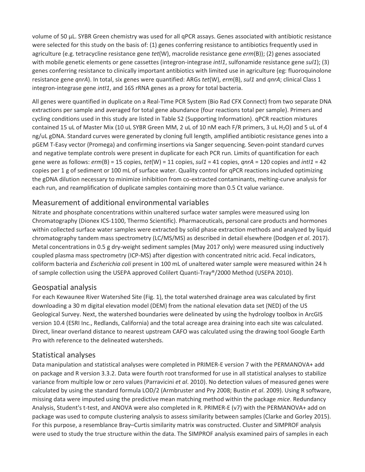volume of 50 µL. SYBR Green chemistry was used for all qPCR assays. Genes associated with antibiotic resistance were selected for this study on the basis of: (1) genes conferring resistance to antibiotics frequently used in agriculture (e.g. tetracycline resistance gene *tet*(W), macrolide resistance gene *erm*(B)); (2) genes associated with mobile genetic elements or gene cassettes (integron-integrase *intI1*, sulfonamide resistance gene *sul1*); (3) genes conferring resistance to clinically important antibiotics with limited use in agriculture (eg: fluoroquinolone resistance gene *qnrA*). In total, six genes were quantified: ARGs *tet*(W), *erm*(B), *sul1* and *qnrA*; clinical Class 1 integron-integrase gene *intI1*, and 16S rRNA genes as a proxy for total bacteria.

All genes were quantified in duplicate on a Real-Time PCR System (Bio Rad CFX Connect) from two separate DNA extractions per sample and averaged for total gene abundance (four reactions total per sample). Primers and cycling conditions used in this study are listed in Table S2 (Supporting Information). qPCR reaction mixtures contained 15 uL of Master Mix (10 uL SYBR Green MM, 2 uL of 10 nM each F/R primers, 3 uL H<sub>2</sub>O) and 5 uL of 4 ng/uL gDNA. Standard curves were generated by cloning full length, amplified antibiotic resistance genes into a pGEM T-Easy vector (Promega) and confirming insertions via Sanger sequencing. Seven-point standard curves and negative template controls were present in duplicate for each PCR run. Limits of quantification for each gene were as follows: *erm*(B) = 15 copies, *tet*(W) = 11 copies, *sul1* = 41 copies, *qnrA* = 120 copies and *intI1* = 42 copies per 1 g of sediment or 100 mL of surface water. Quality control for qPCR reactions included optimizing the gDNA dilution necessary to minimize inhibition from co-extracted contaminants, melting-curve analysis for each run, and reamplification of duplicate samples containing more than 0.5 Ct value variance.

#### Measurement of additional environmental variables

Nitrate and phosphate concentrations within unaltered surface water samples were measured using Ion Chromatography (Dionex ICS-1100, Thermo Scientific). Pharmaceuticals, personal care products and hormones within collected surface water samples were extracted by solid phase extraction methods and analyzed by liquid chromatography tandem mass spectrometry (LC/MS/MS) as described in detail elsewhere (Dodgen *et al*. 2017). Metal concentrations in 0.5 g dry-weight sediment samples (May 2017 only) were measured using inductively coupled plasma mass spectrometry (ICP-MS) after digestion with concentrated nitric acid. Fecal indicators, coliform bacteria and *Escherichia coli* present in 100 mL of unaltered water sample were measured within 24 h of sample collection using the USEPA approved Colilert Quanti-Tray®/2000 Method (USEPA 2010).

#### Geospatial analysis

For each Kewaunee River Watershed Site (Fig. 1), the total watershed drainage area was calculated by first downloading a 30 m digital elevation model (DEM) from the national elevation data set (NED) of the US Geological Survey. Next, the watershed boundaries were delineated by using the hydrology toolbox in ArcGIS version 10.4 (ESRI Inc., Redlands, California) and the total acreage area draining into each site was calculated. Direct, linear overland distance to nearest upstream CAFO was calculated using the drawing tool Google Earth Pro with reference to the delineated watersheds.

#### Statistical analyses

Data manipulation and statistical analyses were completed in PRIMER-E version 7 with the PERMANOVA+ add on package and R version 3.3.2. Data were fourth root transformed for use in all statistical analyses to stabilize variance from multiple low or zero values (Parravicini *et al*. 2010). No detection values of measured genes were calculated by using the standard formula LOD/2 (Armbruster and Pry 2008; Bustin *et al*. 2009). Using R software, missing data were imputed using the predictive mean matching method within the package *mice*. Redundancy Analysis, Student's t-test, and ANOVA were also completed in R. PRIMER-E (v7) with the PERMANOVA+ add on package was used to compute clustering analysis to assess similarity between samples (Clarke and Gorley 2015). For this purpose, a resemblance Bray–Curtis similarity matrix was constructed. Cluster and SIMPROF analysis were used to study the true structure within the data. The SIMPROF analysis examined pairs of samples in each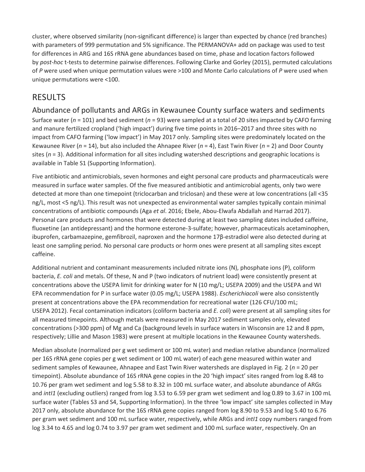cluster, where observed similarity (non-significant difference) is larger than expected by chance (red branches) with parameters of 999 permutation and 5% significance. The PERMANOVA+ add on package was used to test for differences in ARG and 16S rRNA gene abundances based on time, phase and location factors followed by *post-hoc* t-tests to determine pairwise differences. Following Clarke and Gorley (2015), permuted calculations of *P* were used when unique permutation values were >100 and Monte Carlo calculations of *P* were used when unique permutations were <100.

## RESULTS

Abundance of pollutants and ARGs in Kewaunee County surface waters and sediments Surface water (*n* = 101) and bed sediment (*n* = 93) were sampled at a total of 20 sites impacted by CAFO farming and manure fertilized cropland ('high impact') during five time points in 2016–2017 and three sites with no impact from CAFO farming ('low impact') in May 2017 only. Sampling sites were predominately located on the Kewaunee River (*n* = 14), but also included the Ahnapee River (*n* = 4), East Twin River (*n* = 2) and Door County sites (*n* = 3). Additional information for all sites including watershed descriptions and geographic locations is available in Table S1 (Supporting Information).

Five antibiotic and antimicrobials, seven hormones and eight personal care products and pharmaceuticals were measured in surface water samples. Of the five measured antibiotic and antimicrobial agents, only two were detected at more than one timepoint (triclocarban and triclosan) and these were at low concentrations (all <35 ng/L, most <5 ng/L). This result was not unexpected as environmental water samples typically contain minimal concentrations of antibiotic compounds (Aga *et al*. 2016; Ebele, Abou-Elwafa Abdallah and Harrad 2017). Personal care products and hormones that were detected during at least two sampling dates included caffeine, fluoxetine (an antidepressant) and the hormone esterone-3-sulfate; however, pharmaceuticals acetaminophen, ibuprofen, carbamazepine, gemfibrozil, naproxen and the hormone 17β-estradiol were also detected during at least one sampling period. No personal care products or horm ones were present at all sampling sites except caffeine.

Additional nutrient and contaminant measurements included nitrate ions (N), phosphate ions (P), coliform bacteria, *E. coli* and metals. Of these, N and P (two indicators of nutrient load) were consistently present at concentrations above the USEPA limit for drinking water for N (10 mg/L; USEPA 2009) and the USEPA and WI EPA recommendation for P in surface water (0.05 mg/L; USEPA 1988). *Escherichiacoli* were also consistently present at concentrations above the EPA recommendation for recreational water (126 CFU/100 mL; USEPA 2012). Fecal contamination indicators (coliform bacteria and *E. coli*) were present at all sampling sites for all measured timepoints. Although metals were measured in May 2017 sediment samples only, elevated concentrations (>300 ppm) of Mg and Ca (background levels in surface waters in Wisconsin are 12 and 8 ppm, respectively; Lillie and Mason 1983) were present at multiple locations in the Kewaunee County watersheds.

Median absolute (normalized per g wet sediment or 100 mL water) and median relative abundance (normalized per 16S rRNA gene copies per g wet sediment or 100 mL water) of each gene measured within water and sediment samples of Kewaunee, Ahnapee and East Twin River watersheds are displayed in Fig. 2 (*n* = 20 per timepoint). Absolute abundance of 16S rRNA gene copies in the 20 'high impact' sites ranged from log 8.48 to 10.76 per gram wet sediment and log 5.58 to 8.32 in 100 mL surface water, and absolute abundance of ARGs and *intI1* (excluding outliers) ranged from log 3.53 to 6.59 per gram wet sediment and log 0.89 to 3.67 in 100 mL surface water (Tables S3 and S4, Supporting Information). In the three 'low impact' site samples collected in May 2017 only, absolute abundance for the 16S rRNA gene copies ranged from log 8.90 to 9.53 and log 5.40 to 6.76 per gram wet sediment and 100 mL surface water, respectively, while ARGs and *intI1* copy numbers ranged from log 3.34 to 4.65 and log 0.74 to 3.97 per gram wet sediment and 100 mL surface water, respectively. On an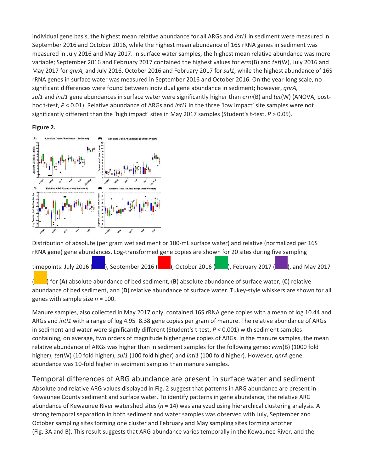individual gene basis, the highest mean relative abundance for all ARGs and *intI1* in sediment were measured in September 2016 and October 2016, while the highest mean abundance of 16S rRNA genes in sediment was measured in July 2016 and May 2017. In surface water samples, the highest mean relative abundance was more variable; September 2016 and February 2017 contained the highest values for *erm*(B) and *tet*(W), July 2016 and May 2017 for *qnrA*, and July 2016, October 2016 and February 2017 for *sul1*, while the highest abundance of 16S rRNA genes in surface water was measured in September 2016 and October 2016. On the year-long scale, no significant differences were found between individual gene abundance in sediment; however, *qnrA, sul1* and *intI1* gene abundances in surface water were significantly higher than *erm*(B) and *tet*(W) (ANOVA, posthoc t-test, *P* < 0.01). Relative abundance of ARGs and *intI1* in the three 'low impact' site samples were not significantly different than the 'high impact' sites in May 2017 samples (Student's t-test, *P* > 0.05).

#### **Figure 2.**



Distribution of absolute (per gram wet sediment or 100-mL surface water) and relative (normalized per 16S rRNA gene) gene abundances. Log-transformed gene copies are shown for 20 sites during five sampling

| timepoints: July 2016 (Bully 2017), September 2016 (Bully 2016 (Bully 2016 (Bully 2017 (Bully 2017 (Bully 2017 |  |  |  |  |
|----------------------------------------------------------------------------------------------------------------|--|--|--|--|
|                                                                                                                |  |  |  |  |

( ) for (**A**) absolute abundance of bed sediment, (**B**) absolute abundance of surface water, (**C**) relative abundance of bed sediment, and (**D**) relative abundance of surface water. Tukey-style whiskers are shown for all genes with sample size *n* = 100.

Manure samples, also collected in May 2017 only, contained 16S rRNA gene copies with a mean of log 10.44 and ARGs and *intI1* with a range of log 4.95–8.38 gene copies per gram of manure. The relative abundance of ARGs in sediment and water were significantly different (Student's t-test, *P* < 0.001) with sediment samples containing, on average, two orders of magnitude higher gene copies of ARGs. In the manure samples, the mean relative abundance of ARGs was higher than in sediment samples for the following genes: *erm*(B) (1000 fold higher), *tet*(W) (10 fold higher), *sul1* (100 fold higher) and *intI1* (100 fold higher). However, *qnrA* gene abundance was 10-fold higher in sediment samples than manure samples.

#### Temporal differences of ARG abundance are present in surface water and sediment

Absolute and relative ARG values displayed in Fig. 2 suggest that patterns in ARG abundance are present in Kewaunee County sediment and surface water. To identify patterns in gene abundance, the relative ARG abundance of Kewaunee River watershed sites (*n* = 14) was analyzed using hierarchical clustering analysis. A strong temporal separation in both sediment and water samples was observed with July, September and October sampling sites forming one cluster and February and May sampling sites forming another (Fig. 3A and B). This result suggests that ARG abundance varies temporally in the Kewaunee River, and the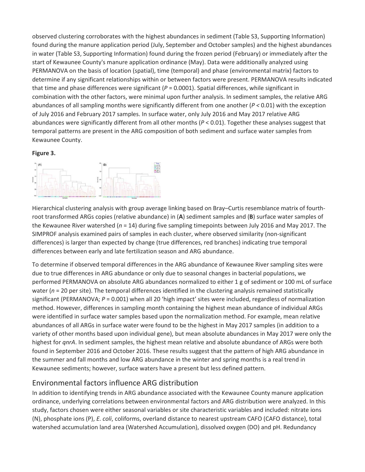observed clustering corroborates with the highest abundances in sediment (Table S3, Supporting Information) found during the manure application period (July, September and October samples) and the highest abundances in water (Table S3, Supporting Information) found during the frozen period (February) or immediately after the start of Kewaunee County's manure application ordinance (May). Data were additionally analyzed using PERMANOVA on the basis of location (spatial), time (temporal) and phase (environmental matrix) factors to determine if any significant relationships within or between factors were present. PERMANOVA results indicated that time and phase differences were significant (*P* = 0.0001). Spatial differences, while significant in combination with the other factors, were minimal upon further analysis. In sediment samples, the relative ARG abundances of all sampling months were significantly different from one another (*P <* 0.01) with the exception of July 2016 and February 2017 samples. In surface water, only July 2016 and May 2017 relative ARG abundances were significantly different from all other months (*P* < 0.01). Together these analyses suggest that temporal patterns are present in the ARG composition of both sediment and surface water samples from Kewaunee County.

#### **Figure 3.**



Hierarchical clustering analysis with group average linking based on Bray–Curtis resemblance matrix of fourthroot transformed ARGs copies (relative abundance) in (**A**) sediment samples and (**B**) surface water samples of the Kewaunee River watershed (*n* = 14) during five sampling timepoints between July 2016 and May 2017. The SIMPROF analysis examined pairs of samples in each cluster, where observed similarity (non-significant differences) is larger than expected by change (true differences, red branches) indicating true temporal differences between early and late fertilization season and ARG abundance.

To determine if observed temporal differences in the ARG abundance of Kewaunee River sampling sites were due to true differences in ARG abundance or only due to seasonal changes in bacterial populations, we performed PERMANOVA on absolute ARG abundances normalized to either 1 g of sediment or 100 mL of surface water (*n* = 20 per site). The temporal differences identified in the clustering analysis remained statistically significant (PERMANOVA; *P* = 0.001) when all 20 'high impact' sites were included, regardless of normalization method. However, differences in sampling month containing the highest mean abundance of individual ARGs were identified in surface water samples based upon the normalization method. For example, mean relative abundances of all ARGs in surface water were found to be the highest in May 2017 samples (in addition to a variety of other months based upon individual gene), but mean absolute abundances in May 2017 were only the highest for *qnrA*. In sediment samples, the highest mean relative and absolute abundance of ARGs were both found in September 2016 and October 2016. These results suggest that the pattern of high ARG abundance in the summer and fall months and low ARG abundance in the winter and spring months is a real trend in Kewaunee sediments; however, surface waters have a present but less defined pattern.

#### Environmental factors influence ARG distribution

In addition to identifying trends in ARG abundance associated with the Kewaunee County manure application ordinance, underlying correlations between environmental factors and ARG distribution were analyzed. In this study, factors chosen were either seasonal variables or site characteristic variables and included: nitrate ions (N), phosphate ions (P), *E. coli*, coliforms, overland distance to nearest upstream CAFO (CAFO distance), total watershed accumulation land area (Watershed Accumulation), dissolved oxygen (DO) and pH. Redundancy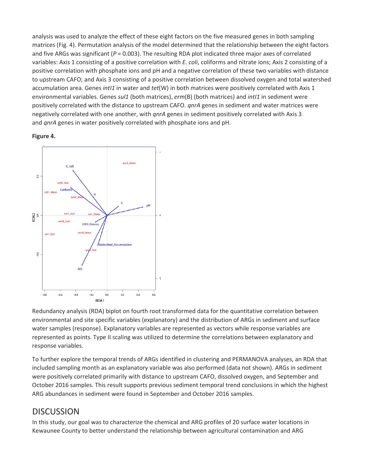analysis was used to analyze the effect of these eight factors on the five measured genes in both sampling matrices (Fig. 4). Permutation analysis of the model determined that the relationship between the eight factors and five ARGs was significant ( $P = 0.003$ ). The resulting RDA plot indicated three major axes of correlated variables: Axis 1 consisting of a positive correlation with *E. coli*, coliforms and nitrate ions; Axis 2 consisting of a positive correlation with phosphate ions and pH and a negative correlation of these two variables with distance to upstream CAFO; and Axis 3 consisting of a positive correlation between dissolved oxygen and total watershed accumulation area. Genes *intI1* in water and *tet*(W) in both matrices were positively correlated with Axis 1 environmental variables. Genes *sul1* (both matrices), *erm*(B) (both matrices) and *intI1* in sediment were positively correlated with the distance to upstream CAFO. *qnrA* genes in sediment and water matrices were negatively correlated with one another, with *qnrA* genes in sediment positively correlated with Axis 3 and *qnrA* genes in water positively correlated with phosphate ions and pH.





Redundancy analysis (RDA) biplot on fourth root transformed data for the quantitative correlation between environmental and site specific variables (explanatory) and the distribution of ARGs in sediment and surface water samples (response). Explanatory variables are represented as vectors while response variables are represented as points. Type II scaling was utilized to determine the correlations between explanatory and response variables.

To further explore the temporal trends of ARGs identified in clustering and PERMANOVA analyses, an RDA that included sampling month as an explanatory variable was also performed (data not shown). ARGs in sediment were positively correlated primarily with distance to upstream CAFO, dissolved oxygen, and September and October 2016 samples. This result supports previous sediment temporal trend conclusions in which the highest ARG abundances in sediment were found in September and October 2016 samples.

### **DISCUSSION**

In this study, our goal was to characterize the chemical and ARG profiles of 20 surface water locations in Kewaunee County to better understand the relationship between agricultural contamination and ARG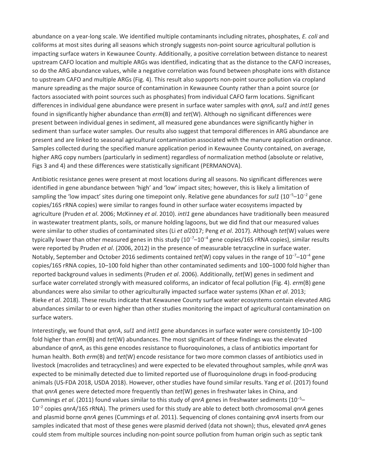abundance on a year-long scale. We identified multiple contaminants including nitrates, phosphates, *E. coli* and coliforms at most sites during all seasons which strongly suggests non-point source agricultural pollution is impacting surface waters in Kewaunee County. Additionally, a positive correlation between distance to nearest upstream CAFO location and multiple ARGs was identified, indicating that as the distance to the CAFO increases, so do the ARG abundance values, while a negative correlation was found between phosphate ions with distance to upstream CAFO and multiple ARGs (Fig. 4). This result also supports non-point source pollution via cropland manure spreading as the major source of contamination in Kewaunee County rather than a point source (or factors associated with point sources such as phosphates) from individual CAFO farm locations. Significant differences in individual gene abundance were present in surface water samples with *qnrA, sul1* and *intI1* genes found in significantly higher abundance than *erm*(B) and *tet*(W). Although no significant differences were present between individual genes in sediment, all measured gene abundances were significantly higher in sediment than surface water samples. Our results also suggest that temporal differences in ARG abundance are present and are linked to seasonal agricultural contamination associated with the manure application ordinance. Samples collected during the specified manure application period in Kewaunee County contained, on average, higher ARG copy numbers (particularly in sediment) regardless of normalization method (absolute or relative, Figs 3 and 4) and these differences were statistically significant (PERMANOVA).

Antibiotic resistance genes were present at most locations during all seasons. No significant differences were identified in gene abundance between 'high' and 'low' impact sites; however, this is likely a limitation of sampling the 'low impact' sites during one timepoint only. Relative gene abundances for *sul1* (10<sup>−</sup><sup>5</sup> –10<sup>−</sup><sup>2</sup> gene copies/16S rRNA copies) were similar to ranges found in other surface water ecosystems impacted by agriculture (Pruden *et al*. 2006; McKinney *et al*. 2010). *intI1* gene abundances have traditionally been measured in wastewater treatment plants, soils, or manure holding lagoons, but we did find that our measured values were similar to other studies of contaminated sites (Li *et al*2017; Peng *et al*. 2017). Although *tet*(W) values were typically lower than other measured genes in this study (10<sup>-7</sup>–10<sup>-4</sup> gene copies/16S rRNA copies), similar results were reported by Pruden *et al*. (2006, 2012) in the presence of measurable tetracycline in surface water. Notably, September and October 2016 sediments contained *tet*(W) copy values in the range of 10<sup>−</sup><sup>7</sup> –10<sup>−</sup><sup>4</sup> gene copies/16S rRNA copies, 10–100 fold higher than other contaminated sediments and 100–1000 fold higher than reported background values in sediments (Pruden *et al*. 2006). Additionally, *tet*(W) genes in sediment and surface water correlated strongly with measured coliforms, an indicator of fecal pollution (Fig. 4). *erm*(B) gene abundances were also similar to other agriculturally impacted surface water systems (Khan *et al*. 2013; Rieke *et al*. 2018). These results indicate that Kewaunee County surface water ecosystems contain elevated ARG abundances similar to or even higher than other studies monitoring the impact of agricultural contamination on surface waters.

Interestingly, we found that *qnrA*, *sul1* and *intI1* gene abundances in surface water were consistently 10–100 fold higher than *erm*(B) and *tet*(W) abundances. The most significant of these findings was the elevated abundance of *qnrA*, as this gene encodes resistance to fluoroquinolones, a class of antibiotics important for human health. Both *erm*(B) and *tet*(W) encode resistance for two more common classes of antibiotics used in livestock (macrolides and tetracyclines) and were expected to be elevated throughout samples, while *qnrA* was expected to be minimally detected due to limited reported use of fluoroquinolone drugs in food-producing animals (US-FDA 2018, USDA 2018). However, other studies have found similar results. Yang *et al*. (2017) found that *qnrA* genes were detected more frequently than *tet*(W) genes in freshwater lakes in China, and Cummings *et al*. (2011) found values similar to this study of *qnrA* genes in freshwater sediments (10<sup>−</sup><sup>5</sup> – 10<sup>−</sup><sup>2</sup> copies *qnrA*/16S rRNA). The primers used for this study are able to detect both chromosomal *qnrA* genes and plasmid borne *qnrA* genes (Cummings *et al*. 2011). Sequencing of clones containing *qnrA* inserts from our samples indicated that most of these genes were plasmid derived (data not shown); thus, elevated *qnrA* genes could stem from multiple sources including non-point source pollution from human origin such as septic tank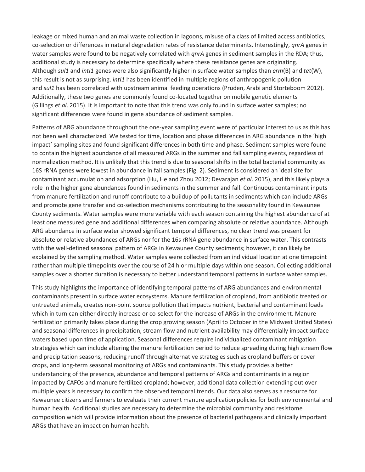leakage or mixed human and animal waste collection in lagoons, misuse of a class of limited access antibiotics, co-selection or differences in natural degradation rates of resistance determinants. Interestingly, *qnrA* genes in water samples were found to be negatively correlated with *qnrA* genes in sediment samples in the RDA; thus, additional study is necessary to determine specifically where these resistance genes are originating. Although *sul1* and *intI1* genes were also significantly higher in surface water samples than *erm*(B) and *tet*(W), this result is not as surprising. *intI1* has been identified in multiple regions of anthropogenic pollution and *sul1* has been correlated with upstream animal feeding operations (Pruden, Arabi and Storteboom 2012). Additionally, these two genes are commonly found co-located together on mobile genetic elements (Gillings *et al*. 2015). It is important to note that this trend was only found in surface water samples; no significant differences were found in gene abundance of sediment samples.

Patterns of ARG abundance throughout the one-year sampling event were of particular interest to us as this has not been well characterized. We tested for time, location and phase differences in ARG abundance in the 'high impact' sampling sites and found significant differences in both time and phase. Sediment samples were found to contain the highest abundance of all measured ARGs in the summer and fall sampling events, regardless of normalization method. It is unlikely that this trend is due to seasonal shifts in the total bacterial community as 16S rRNA genes were lowest in abundance in fall samples (Fig. 2). Sediment is considered an ideal site for contaminant accumulation and adsorption (Hu, He and Zhou 2012; Devarajan *et al*. 2015), and this likely plays a role in the higher gene abundances found in sediments in the summer and fall. Continuous contaminant inputs from manure fertilization and runoff contribute to a buildup of pollutants in sediments which can include ARGs and promote gene transfer and co-selection mechanisms contributing to the seasonality found in Kewaunee County sediments. Water samples were more variable with each season containing the highest abundance of at least one measured gene and additional differences when comparing absolute or relative abundance. Although ARG abundance in surface water showed significant temporal differences, no clear trend was present for absolute or relative abundances of ARGs nor for the 16s rRNA gene abundance in surface water. This contrasts with the well-defined seasonal pattern of ARGs in Kewaunee County sediments; however, it can likely be explained by the sampling method. Water samples were collected from an individual location at one timepoint rather than multiple timepoints over the course of 24 h or multiple days within one season. Collecting additional samples over a shorter duration is necessary to better understand temporal patterns in surface water samples.

This study highlights the importance of identifying temporal patterns of ARG abundances and environmental contaminants present in surface water ecosystems. Manure fertilization of cropland, from antibiotic treated or untreated animals, creates non-point source pollution that impacts nutrient, bacterial and contaminant loads which in turn can either directly increase or co-select for the increase of ARGs in the environment. Manure fertilization primarily takes place during the crop growing season (April to October in the Midwest United States) and seasonal differences in precipitation, stream flow and nutrient availability may differentially impact surface waters based upon time of application. Seasonal differences require individualized contaminant mitigation strategies which can include altering the manure fertilization period to reduce spreading during high stream flow and precipitation seasons, reducing runoff through alternative strategies such as cropland buffers or cover crops, and long-term seasonal monitoring of ARGs and contaminants. This study provides a better understanding of the presence, abundance and temporal patterns of ARGs and contaminants in a region impacted by CAFOs and manure fertilized cropland; however, additional data collection extending out over multiple years is necessary to confirm the observed temporal trends. Our data also serves as a resource for Kewaunee citizens and farmers to evaluate their current manure application policies for both environmental and human health. Additional studies are necessary to determine the microbial community and resistome composition which will provide information about the presence of bacterial pathogens and clinically important ARGs that have an impact on human health.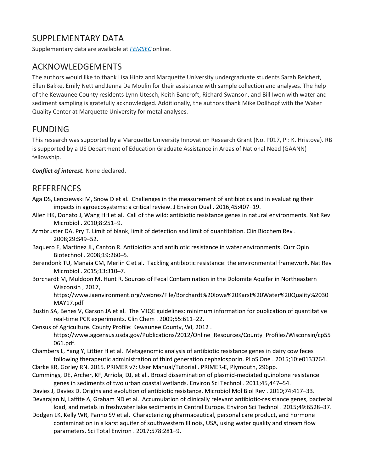# SUPPI FMFNTARY DATA

Supplementary data are available at *[FEMSEC](https://0-academic-oup-com.libus.csd.mu.edu/femsec/article-lookup/doi/10.1093/femsec/fiy131#supplementary-data)* online.

## ACKNOWLEDGEMENTS

The authors would like to thank Lisa Hintz and Marquette University undergraduate students Sarah Reichert, Ellen Bakke, Emily Nett and Jenna De Moulin for their assistance with sample collection and analyses. The help of the Kewaunee County residents Lynn Utesch, Keith Bancroft, Richard Swanson, and Bill Iwen with water and sediment sampling is gratefully acknowledged. Additionally, the authors thank Mike Dollhopf with the Water Quality Center at Marquette University for metal analyses.

## FUNDING

This research was supported by a Marquette University Innovation Research Grant (No. P017, PI: K. Hristova). RB is supported by a US Department of Education Graduate Assistance in Areas of National Need (GAANN) fellowship.

*Conflict of interest.* None declared.

#### **REFERENCES**

- Aga DS, Lenczewski M, Snow D et al. Challenges in the measurement of antibiotics and in evaluating their impacts in agroecosystems: a critical review. J Environ Qual . 2016;45:407–19.
- Allen HK, Donato J, Wang HH et al. Call of the wild: antibiotic resistance genes in natural environments. Nat Rev Microbiol . 2010;8:251–9.
- Armbruster DA, Pry T. Limit of blank, limit of detection and limit of quantitation. Clin Biochem Rev . 2008;29:S49–52.
- Baquero F, Martinez JL, Canton R. Antibiotics and antibiotic resistance in water environments. Curr Opin Biotechnol . 2008;19:260–5.
- Berendonk TU, Manaia CM, Merlin C et al. Tackling antibiotic resistance: the environmental framework. Nat Rev Microbiol . 2015;13:310–7.
- Borchardt M, Muldoon M, Hunt R. Sources of Fecal Contamination in the Dolomite Aquifer in Northeastern Wisconsin , 2017,

https://www.iaenvironment.org/webres/File/Borchardt%20Iowa%20Karst%20Water%20Quality%2030 MAY17.pdf

Bustin SA, Benes V, Garson JA et al. The MIQE guidelines: minimum information for publication of quantitative real-time PCR experiments. Clin Chem . 2009;55:611–22.

Census of Agriculture. County Profile: Kewaunee County, WI, 2012 . https://www.agcensus.usda.gov/Publications/2012/Online\_Resources/County\_Profiles/Wisconsin/cp55 061.pdf.

- Chambers L, Yang Y, Littier H et al. Metagenomic analysis of antibiotic resistance genes in dairy cow feces following therapeutic administration of third generation cephalosporin. PLoS One . 2015;10:e0133764.
- Clarke KR, Gorley RN. 2015. PRIMER v7: User Manual/Tutorial . PRIMER-E, Plymouth, 296pp.
- Cummings, DE, Archer, KF, Arriola, DJ, et al.. Broad dissemination of plasmid-mediated quinolone resistance genes in sediments of two urban coastal wetlands. Environ Sci Technol . 2011;45,447–54.
- Davies J, Davies D. Origins and evolution of antibiotic resistance. Microbiol Mol Biol Rev . 2010;74:417–33. Devarajan N, Laffite A, Graham ND et al. Accumulation of clinically relevant antibiotic-resistance genes, bacterial

load, and metals in freshwater lake sediments in Central Europe. Environ Sci Technol . 2015;49:6528–37.

Dodgen LK, Kelly WR, Panno SV et al. Characterizing pharmaceutical, personal care product, and hormone contamination in a karst aquifer of southwestern Illinois, USA, using water quality and stream flow parameters. Sci Total Environ . 2017;578:281–9.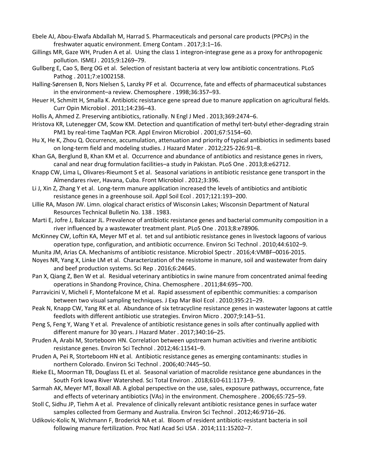- Ebele AJ, Abou-Elwafa Abdallah M, Harrad S. Pharmaceuticals and personal care products (PPCPs) in the freshwater aquatic environment. Emerg Contam . 2017;3:1–16.
- Gillings MR, Gaze WH, Pruden A et al. Using the class 1 integron-integrase gene as a proxy for anthropogenic pollution. ISMEJ . 2015;9:1269–79.
- Gullberg E, Cao S, Berg OG et al. Selection of resistant bacteria at very low antibiotic concentrations. PLoS Pathog . 2011;7:e1002158.
- Halling-Sørensen B, Nors Nielsen S, Lanzky PF et al. Occurrence, fate and effects of pharmaceutical substances in the environment–a review. Chemosphere . 1998;36:357–93.
- Heuer H, Schmitt H, Smalla K. Antibiotic resistance gene spread due to manure application on agricultural fields. Curr Opin Microbiol . 2011;14:236–43.
- Hollis A, Ahmed Z. Preserving antibiotics, rationally. N Engl J Med . 2013;369:2474–6.
- Hristova KR, Lutenegger CM, Scow KM. Detection and quantification of methyl tert-butyl ether-degrading strain PM1 by real-time TaqMan PCR. Appl Environ Microbiol . 2001;67:5154–60.
- Hu X, He K, Zhou Q. Occurrence, accumulation, attenuation and priority of typical antibiotics in sediments based on long-term field and modeling studies. J Hazard Mater . 2012;225-226:91–8.
- Khan GA, Berglund B, Khan KM et al. Occurrence and abundance of antibiotics and resistance genes in rivers, canal and near drug formulation facilities–a study in Pakistan. PLoS One . 2013;8:e62712.
- Knapp CW, Lima L, Olivares-Rieumont S et al. Seasonal variations in antibiotic resistance gene transport in the Almendares river, Havana, Cuba. Front Microbiol . 2012;3:396.
- Li J, Xin Z, Zhang Y et al. Long-term manure application increased the levels of antibiotics and antibiotic resistance genes in a greenhouse soil. Appl Soil Ecol . 2017;121:193–200.
- Lillie RA, Mason JW. Limn. ological charact eristics of Wisconsin Lakes; Wisconsin Department of Natural Resources Technical Bulletin No. 138 . 1983.
- Marti E, Jofre J, Balcazar JL. Prevalence of antibiotic resistance genes and bacterial community composition in a river influenced by a wastewater treatment plant. PLoS One . 2013;8:e78906.
- McKinney CW, Loftin KA, Meyer MT et al. tet and sul antibiotic resistance genes in livestock lagoons of various operation type, configuration, and antibiotic occurrence. Environ Sci Technol . 2010;44:6102–9.
- Munita JM, Arias CA. Mechanisms of antibiotic resistance. Microbiol Spectr . 2016;4:VMBF–0016-2015.
- Noyes NR, Yang X, Linke LM et al. Characterization of the resistome in manure, soil and wastewater from dairy and beef production systems. Sci Rep . 2016;6:24645.
- Pan X, Qiang Z, Ben W et al. Residual veterinary antibiotics in swine manure from concentrated animal feeding operations in Shandong Province, China. Chemosphere . 2011;84:695–700.
- Parravicini V, Micheli F, Montefalcone M et al. Rapid assessment of epibenthic communities: a comparison between two visual sampling techniques. J Exp Mar Biol Ecol . 2010;395:21–29.
- Peak N, Knapp CW, Yang RK et al. Abundance of six tetracycline resistance genes in wastewater lagoons at cattle feedlots with different antibiotic use strategies. Environ Micro . 2007;9:143–51.
- Peng S, Feng Y, Wang Y et al. Prevalence of antibiotic resistance genes in soils after continually applied with different manure for 30 years. J Hazard Mater . 2017;340:16–25.
- Pruden A, Arabi M, Storteboom HN. Correlation between upstream human activities and riverine antibiotic resistance genes. Environ Sci Technol . 2012;46:11541–9.
- Pruden A, Pei R, Storteboom HN et al. Antibiotic resistance genes as emerging contaminants: studies in northern Colorado. Environ Sci Technol . 2006;40:7445–50.
- Rieke EL, Moorman TB, Douglass EL et al. Seasonal variation of macrolide resistance gene abundances in the South Fork Iowa River Watershed. Sci Total Environ . 2018;610-611:1173–9.
- Sarmah AK, Meyer MT, Boxall AB. A global perspective on the use, sales, exposure pathways, occurrence, fate and effects of veterinary antibiotics (VAs) in the environment. Chemosphere . 2006;65:725–59.
- Stoll C, Sidhu JP, Tiehm A et al. Prevalence of clinically relevant antibiotic resistance genes in surface water samples collected from Germany and Australia. Environ Sci Technol . 2012;46:9716–26.
- Udikovic-Kolic N, Wichmann F, Broderick NA et al. Bloom of resident antibiotic-resistant bacteria in soil following manure fertilization. Proc Natl Acad Sci USA . 2014;111:15202–7.